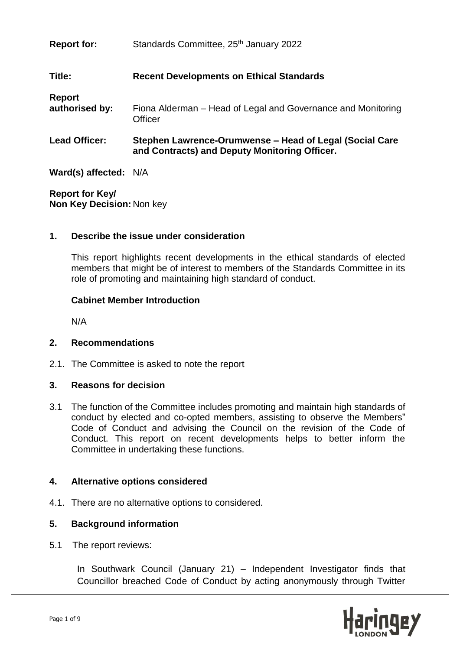| <b>Report for:</b>       | Standards Committee, 25 <sup>th</sup> January 2022                                                       |
|--------------------------|----------------------------------------------------------------------------------------------------------|
| Title:                   | <b>Recent Developments on Ethical Standards</b>                                                          |
| Report<br>authorised by: | Fiona Alderman – Head of Legal and Governance and Monitoring<br>Officer                                  |
| <b>Lead Officer:</b>     | Stephen Lawrence-Orumwense – Head of Legal (Social Care<br>and Contracts) and Deputy Monitoring Officer. |

**Ward(s) affected:** N/A

**Report for Key/ Non Key Decision:** Non key

### **1. Describe the issue under consideration**

This report highlights recent developments in the ethical standards of elected members that might be of interest to members of the Standards Committee in its role of promoting and maintaining high standard of conduct.

#### **Cabinet Member Introduction**

N/A

### **2. Recommendations**

2.1. The Committee is asked to note the report

### **3. Reasons for decision**

3.1 The function of the Committee includes promoting and maintain high standards of conduct by elected and co-opted members, assisting to observe the Members" Code of Conduct and advising the Council on the revision of the Code of Conduct. This report on recent developments helps to better inform the Committee in undertaking these functions.

### **4. Alternative options considered**

4.1. There are no alternative options to considered.

### **5. Background information**

5.1 The report reviews:

In Southwark Council (January 21) – Independent Investigator finds that Councillor breached Code of Conduct by acting anonymously through Twitter

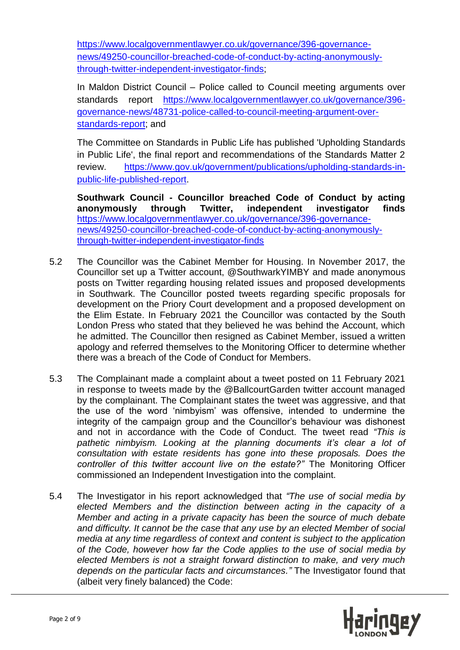[https://www.localgovernmentlawyer.co.uk/governance/396-governance](https://www.localgovernmentlawyer.co.uk/governance/396-governance-news/49250-councillor-breached-code-of-conduct-by-acting-anonymously-through-twitter-independent-investigator-finds)[news/49250-councillor-breached-code-of-conduct-by-acting-anonymously](https://www.localgovernmentlawyer.co.uk/governance/396-governance-news/49250-councillor-breached-code-of-conduct-by-acting-anonymously-through-twitter-independent-investigator-finds)[through-twitter-independent-investigator-finds;](https://www.localgovernmentlawyer.co.uk/governance/396-governance-news/49250-councillor-breached-code-of-conduct-by-acting-anonymously-through-twitter-independent-investigator-finds)

In Maldon District Council – Police called to Council meeting arguments over standards report [https://www.localgovernmentlawyer.co.uk/governance/396](https://www.localgovernmentlawyer.co.uk/governance/396-governance-news/48731-police-called-to-council-meeting-argument-over-standards-report) [governance-news/48731-police-called-to-council-meeting-argument-over](https://www.localgovernmentlawyer.co.uk/governance/396-governance-news/48731-police-called-to-council-meeting-argument-over-standards-report)[standards-report;](https://www.localgovernmentlawyer.co.uk/governance/396-governance-news/48731-police-called-to-council-meeting-argument-over-standards-report) and

The Committee on Standards in Public Life has published 'Upholding Standards in Public Life', the final report and recommendations of the Standards Matter 2 review. [https://www.gov.uk/government/publications/upholding-standards-in](https://www.gov.uk/government/publications/upholding-standards-in-public-life-published-report)[public-life-published-report.](https://www.gov.uk/government/publications/upholding-standards-in-public-life-published-report)

**Southwark Council - Councillor breached Code of Conduct by acting anonymously through Twitter, independent investigator finds**  [https://www.localgovernmentlawyer.co.uk/governance/396-governance](https://www.localgovernmentlawyer.co.uk/governance/396-governance-news/49250-councillor-breached-code-of-conduct-by-acting-anonymously-through-twitter-independent-investigator-finds)[news/49250-councillor-breached-code-of-conduct-by-acting-anonymously](https://www.localgovernmentlawyer.co.uk/governance/396-governance-news/49250-councillor-breached-code-of-conduct-by-acting-anonymously-through-twitter-independent-investigator-finds)[through-twitter-independent-investigator-finds](https://www.localgovernmentlawyer.co.uk/governance/396-governance-news/49250-councillor-breached-code-of-conduct-by-acting-anonymously-through-twitter-independent-investigator-finds)

- 5.2 The Councillor was the Cabinet Member for Housing. In November 2017, the Councillor set up a Twitter account, @SouthwarkYIMBY and made anonymous posts on Twitter regarding housing related issues and proposed developments in Southwark. The Councillor posted tweets regarding specific proposals for development on the Priory Court development and a proposed development on the Elim Estate. In February 2021 the Councillor was contacted by the South London Press who stated that they believed he was behind the Account, which he admitted. The Councillor then resigned as Cabinet Member, issued a written apology and referred themselves to the Monitoring Officer to determine whether there was a breach of the Code of Conduct for Members.
- 5.3 The Complainant made a complaint about a tweet posted on 11 February 2021 in response to tweets made by the @BallcourtGarden twitter account managed by the complainant. The Complainant states the tweet was aggressive, and that the use of the word 'nimbyism' was offensive, intended to undermine the integrity of the campaign group and the Councillor's behaviour was dishonest and not in accordance with the Code of Conduct. The tweet read *"This is pathetic nimbyism. Looking at the planning documents it's clear a lot of consultation with estate residents has gone into these proposals. Does the controller of this twitter account live on the estate?"* The Monitoring Officer commissioned an Independent Investigation into the complaint.
- 5.4 The Investigator in his report acknowledged that *"The use of social media by elected Members and the distinction between acting in the capacity of a Member and acting in a private capacity has been the source of much debate and difficulty. It cannot be the case that any use by an elected Member of social media at any time regardless of context and content is subject to the application of the Code, however how far the Code applies to the use of social media by elected Members is not a straight forward distinction to make, and very much depends on the particular facts and circumstances."* The Investigator found that (albeit very finely balanced) the Code:

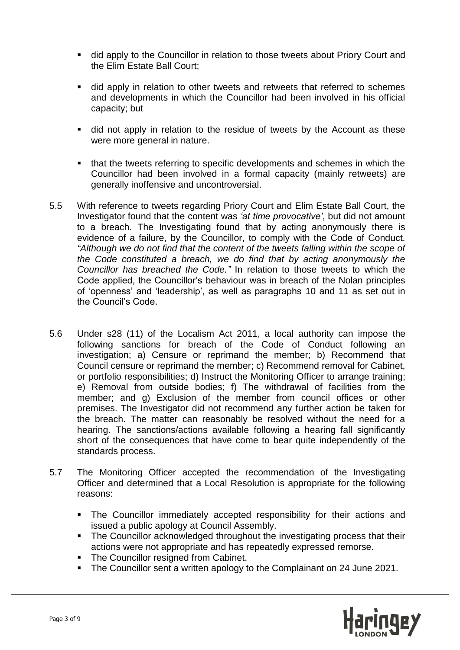- did apply to the Councillor in relation to those tweets about Priory Court and the Elim Estate Ball Court;
- did apply in relation to other tweets and retweets that referred to schemes and developments in which the Councillor had been involved in his official capacity; but
- did not apply in relation to the residue of tweets by the Account as these were more general in nature.
- that the tweets referring to specific developments and schemes in which the Councillor had been involved in a formal capacity (mainly retweets) are generally inoffensive and uncontroversial.
- 5.5 With reference to tweets regarding Priory Court and Elim Estate Ball Court, the Investigator found that the content was *'at time provocative'*, but did not amount to a breach. The Investigating found that by acting anonymously there is evidence of a failure, by the Councillor, to comply with the Code of Conduct. *"Although we do not find that the content of the tweets falling within the scope of the Code constituted a breach, we do find that by acting anonymously the Councillor has breached the Code."* In relation to those tweets to which the Code applied, the Councillor's behaviour was in breach of the Nolan principles of 'openness' and 'leadership', as well as paragraphs 10 and 11 as set out in the Council's Code.
- 5.6 Under s28 (11) of the Localism Act 2011, a local authority can impose the following sanctions for breach of the Code of Conduct following an investigation; a) Censure or reprimand the member; b) Recommend that Council censure or reprimand the member; c) Recommend removal for Cabinet, or portfolio responsibilities; d) Instruct the Monitoring Officer to arrange training; e) Removal from outside bodies; f) The withdrawal of facilities from the member; and g) Exclusion of the member from council offices or other premises. The Investigator did not recommend any further action be taken for the breach. The matter can reasonably be resolved without the need for a hearing. The sanctions/actions available following a hearing fall significantly short of the consequences that have come to bear quite independently of the standards process.
- 5.7 The Monitoring Officer accepted the recommendation of the Investigating Officer and determined that a Local Resolution is appropriate for the following reasons:
	- The Councillor immediately accepted responsibility for their actions and issued a public apology at Council Assembly.
	- The Councillor acknowledged throughout the investigating process that their actions were not appropriate and has repeatedly expressed remorse.
	- The Councillor resigned from Cabinet.
	- The Councillor sent a written apology to the Complainant on 24 June 2021.

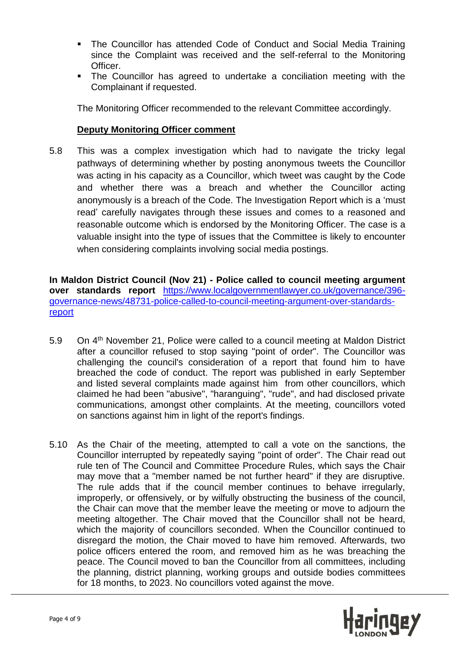- The Councillor has attended Code of Conduct and Social Media Training since the Complaint was received and the self-referral to the Monitoring Officer.
- The Councillor has agreed to undertake a conciliation meeting with the Complainant if requested.

The Monitoring Officer recommended to the relevant Committee accordingly.

#### **Deputy Monitoring Officer comment**

5.8 This was a complex investigation which had to navigate the tricky legal pathways of determining whether by posting anonymous tweets the Councillor was acting in his capacity as a Councillor, which tweet was caught by the Code and whether there was a breach and whether the Councillor acting anonymously is a breach of the Code. The Investigation Report which is a 'must read' carefully navigates through these issues and comes to a reasoned and reasonable outcome which is endorsed by the Monitoring Officer. The case is a valuable insight into the type of issues that the Committee is likely to encounter when considering complaints involving social media postings.

**In Maldon District Council (Nov 21) - Police called to council meeting argument over standards report** [https://www.localgovernmentlawyer.co.uk/governance/396](https://www.localgovernmentlawyer.co.uk/governance/396-governance-news/48731-police-called-to-council-meeting-argument-over-standards-report) [governance-news/48731-police-called-to-council-meeting-argument-over-standards](https://www.localgovernmentlawyer.co.uk/governance/396-governance-news/48731-police-called-to-council-meeting-argument-over-standards-report)[report](https://www.localgovernmentlawyer.co.uk/governance/396-governance-news/48731-police-called-to-council-meeting-argument-over-standards-report)

- 5.9 On 4<sup>th</sup> November 21, Police were called to a council meeting at Maldon District after a councillor refused to stop saying "point of order". The Councillor was challenging the council's consideration of a report that found him to have breached the code of conduct. The report was published in early September and listed several complaints made against him from other councillors, which claimed he had been "abusive", "haranguing", "rude", and had disclosed private communications, amongst other complaints. At the meeting, councillors voted on sanctions against him in light of the report's findings.
- 5.10 As the Chair of the meeting, attempted to call a vote on the sanctions, the Councillor interrupted by repeatedly saying "point of order". The Chair read out rule ten of The Council and Committee Procedure Rules, which says the Chair may move that a "member named be not further heard" if they are disruptive. The rule adds that if the council member continues to behave irregularly, improperly, or offensively, or by wilfully obstructing the business of the council, the Chair can move that the member leave the meeting or move to adjourn the meeting altogether. The Chair moved that the Councillor shall not be heard, which the majority of councillors seconded. When the Councillor continued to disregard the motion, the Chair moved to have him removed. Afterwards, two police officers entered the room, and removed him as he was breaching the peace. The Council moved to ban the Councillor from all committees, including the planning, district planning, working groups and outside bodies committees for 18 months, to 2023. No councillors voted against the move.

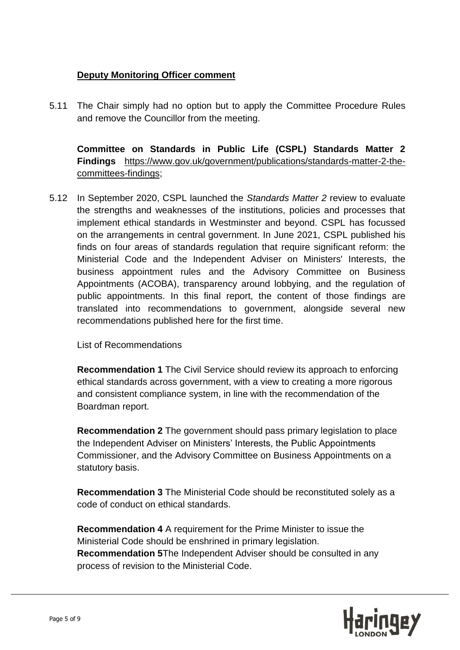## **Deputy Monitoring Officer comment**

5.11 The Chair simply had no option but to apply the Committee Procedure Rules and remove the Councillor from the meeting.

**Committee on Standards in Public Life (CSPL) Standards Matter 2 Findings** [https://www.gov.uk/government/publications/standards-matter-2-the](https://www.gov.uk/government/publications/standards-matter-2-the-committees-findings)[committees-findings;](https://www.gov.uk/government/publications/standards-matter-2-the-committees-findings)

5.12 In September 2020, CSPL launched the *Standards Matter 2* review to evaluate the strengths and weaknesses of the institutions, policies and processes that implement ethical standards in Westminster and beyond. CSPL has focussed on the arrangements in central government. In June 2021, CSPL published his finds on four areas of standards regulation that require significant reform: the Ministerial Code and the Independent Adviser on Ministers' Interests, the business appointment rules and the Advisory Committee on Business Appointments (ACOBA), transparency around lobbying, and the regulation of public appointments. In this final report, the content of those findings are translated into recommendations to government, alongside several new recommendations published here for the first time.

List of Recommendations

**Recommendation 1** The Civil Service should review its approach to enforcing ethical standards across government, with a view to creating a more rigorous and consistent compliance system, in line with the recommendation of the Boardman report.

**Recommendation 2** The government should pass primary legislation to place the Independent Adviser on Ministers' Interests, the Public Appointments Commissioner, and the Advisory Committee on Business Appointments on a statutory basis.

**Recommendation 3** The Ministerial Code should be reconstituted solely as a code of conduct on ethical standards.

**Recommendation 4** A requirement for the Prime Minister to issue the Ministerial Code should be enshrined in primary legislation. **Recommendation 5**The Independent Adviser should be consulted in any process of revision to the Ministerial Code.

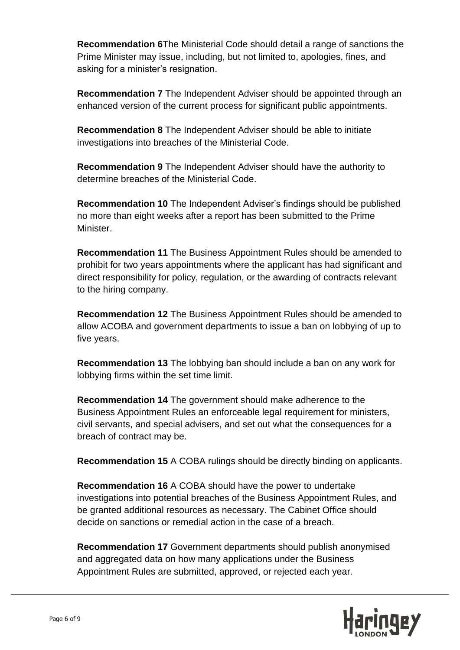**Recommendation 6**The Ministerial Code should detail a range of sanctions the Prime Minister may issue, including, but not limited to, apologies, fines, and asking for a minister's resignation.

**Recommendation 7** The Independent Adviser should be appointed through an enhanced version of the current process for significant public appointments.

**Recommendation 8** The Independent Adviser should be able to initiate investigations into breaches of the Ministerial Code.

**Recommendation 9** The Independent Adviser should have the authority to determine breaches of the Ministerial Code.

**Recommendation 10** The Independent Adviser's findings should be published no more than eight weeks after a report has been submitted to the Prime Minister.

**Recommendation 11** The Business Appointment Rules should be amended to prohibit for two years appointments where the applicant has had significant and direct responsibility for policy, regulation, or the awarding of contracts relevant to the hiring company.

**Recommendation 12** The Business Appointment Rules should be amended to allow ACOBA and government departments to issue a ban on lobbying of up to five years.

**Recommendation 13** The lobbying ban should include a ban on any work for lobbying firms within the set time limit.

**Recommendation 14** The government should make adherence to the Business Appointment Rules an enforceable legal requirement for ministers, civil servants, and special advisers, and set out what the consequences for a breach of contract may be.

**Recommendation 15** A COBA rulings should be directly binding on applicants.

**Recommendation 16** A COBA should have the power to undertake investigations into potential breaches of the Business Appointment Rules, and be granted additional resources as necessary. The Cabinet Office should decide on sanctions or remedial action in the case of a breach.

**Recommendation 17** Government departments should publish anonymised and aggregated data on how many applications under the Business Appointment Rules are submitted, approved, or rejected each year.

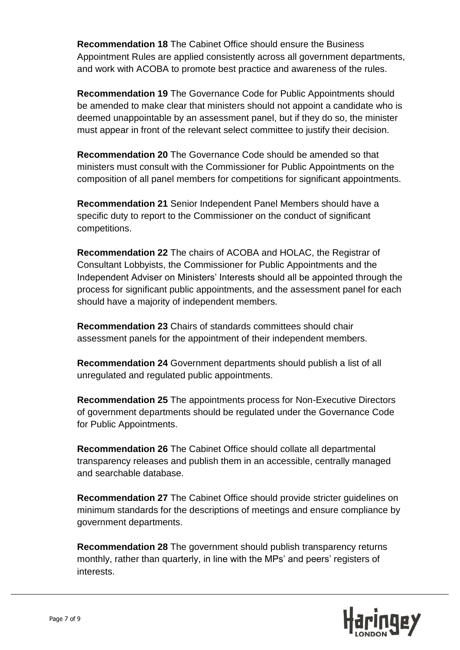**Recommendation 18** The Cabinet Office should ensure the Business Appointment Rules are applied consistently across all government departments, and work with ACOBA to promote best practice and awareness of the rules.

**Recommendation 19** The Governance Code for Public Appointments should be amended to make clear that ministers should not appoint a candidate who is deemed unappointable by an assessment panel, but if they do so, the minister must appear in front of the relevant select committee to justify their decision.

**Recommendation 20** The Governance Code should be amended so that ministers must consult with the Commissioner for Public Appointments on the composition of all panel members for competitions for significant appointments.

**Recommendation 21** Senior Independent Panel Members should have a specific duty to report to the Commissioner on the conduct of significant competitions.

**Recommendation 22** The chairs of ACOBA and HOLAC, the Registrar of Consultant Lobbyists, the Commissioner for Public Appointments and the Independent Adviser on Ministers' Interests should all be appointed through the process for significant public appointments, and the assessment panel for each should have a majority of independent members.

**Recommendation 23** Chairs of standards committees should chair assessment panels for the appointment of their independent members.

**Recommendation 24** Government departments should publish a list of all unregulated and regulated public appointments.

**Recommendation 25** The appointments process for Non-Executive Directors of government departments should be regulated under the Governance Code for Public Appointments.

**Recommendation 26** The Cabinet Office should collate all departmental transparency releases and publish them in an accessible, centrally managed and searchable database.

**Recommendation 27** The Cabinet Office should provide stricter guidelines on minimum standards for the descriptions of meetings and ensure compliance by government departments.

**Recommendation 28** The government should publish transparency returns monthly, rather than quarterly, in line with the MPs' and peers' registers of interests.

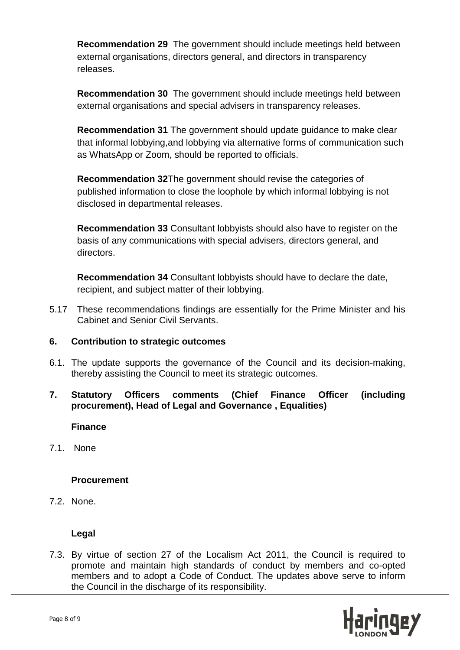**Recommendation 29** The government should include meetings held between external organisations, directors general, and directors in transparency releases.

**Recommendation 30** The government should include meetings held between external organisations and special advisers in transparency releases.

**Recommendation 31** The government should update guidance to make clear that informal lobbying,and lobbying via alternative forms of communication such as WhatsApp or Zoom, should be reported to officials.

**Recommendation 32**The government should revise the categories of published information to close the loophole by which informal lobbying is not disclosed in departmental releases.

**Recommendation 33** Consultant lobbyists should also have to register on the basis of any communications with special advisers, directors general, and directors.

**Recommendation 34** Consultant lobbyists should have to declare the date, recipient, and subject matter of their lobbying.

5.17 These recommendations findings are essentially for the Prime Minister and his Cabinet and Senior Civil Servants.

### **6. Contribution to strategic outcomes**

6.1. The update supports the governance of the Council and its decision-making, thereby assisting the Council to meet its strategic outcomes.

### **7. Statutory Officers comments (Chief Finance Officer (including procurement), Head of Legal and Governance , Equalities)**

#### **Finance**

7.1. None

#### **Procurement**

7.2. None.

### **Legal**

7.3. By virtue of section 27 of the Localism Act 2011, the Council is required to promote and maintain high standards of conduct by members and co-opted members and to adopt a Code of Conduct. The updates above serve to inform the Council in the discharge of its responsibility.